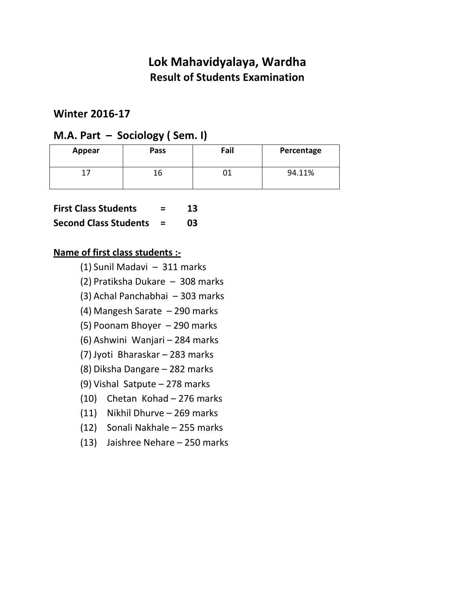### **Winter 2016-17**

## **M.A. Part – Sociology ( Sem. I)**

| Appear | Pass | Fail | Percentage |
|--------|------|------|------------|
|        | Ïр   |      | 94.11%     |

| 13 |
|----|
|    |

**Second Class Students = 03** 

- (1) Sunil Madavi 311 marks
- (2) Pratiksha Dukare 308 marks
- (3) Achal Panchabhai 303 marks
- (4) Mangesh Sarate 290 marks
- (5) Poonam Bhoyer 290 marks
- (6) Ashwini Wanjari 284 marks
- (7) Jyoti Bharaskar 283 marks
- (8) Diksha Dangare 282 marks
- (9) Vishal Satpute 278 marks
- (10) Chetan Kohad 276 marks
- (11) Nikhil Dhurve 269 marks
- (12) Sonali Nakhale 255 marks
- (13) Jaishree Nehare 250 marks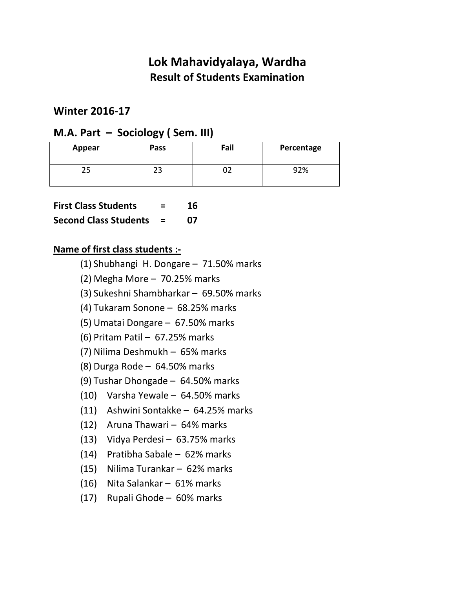### **Winter 2016-17**

## **M.A. Part – Sociology ( Sem. III)**

| Appear | Pass | Fail | Percentage |
|--------|------|------|------------|
|        | رے   |      | 92%        |

**First Class Students = 16** 

### **Second Class Students = 07**

- (1) Shubhangi H. Dongare 71.50% marks
- (2) Megha More 70.25% marks
- (3) Sukeshni Shambharkar 69.50% marks
- (4) Tukaram Sonone 68.25% marks
- (5) Umatai Dongare 67.50% marks
- (6) Pritam Patil 67.25% marks
- (7) Nilima Deshmukh 65% marks
- (8) Durga Rode 64.50% marks
- (9) Tushar Dhongade 64.50% marks
- (10) Varsha Yewale 64.50% marks
- (11) Ashwini Sontakke 64.25% marks
- (12) Aruna Thawari 64% marks
- (13) Vidya Perdesi 63.75% marks
- (14) Pratibha Sabale 62% marks
- (15) Nilima Turankar 62% marks
- (16) Nita Salankar 61% marks
- (17) Rupali Ghode 60% marks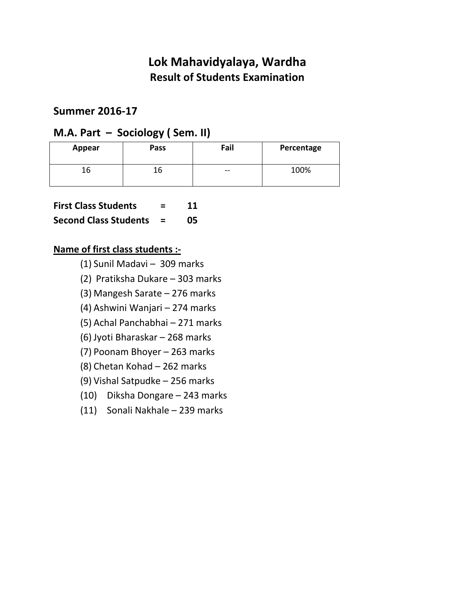### **Summer 2016-17**

### **M.A. Part – Sociology ( Sem. II)**

| Appear | Pass | Fail  | Percentage |
|--------|------|-------|------------|
| Lb     | ïр   | $- -$ | 100%       |

**Second Class Students = 05** 

- (1) Sunil Madavi 309 marks
- (2) Pratiksha Dukare 303 marks
- (3) Mangesh Sarate 276 marks
- (4) Ashwini Wanjari 274 marks
- (5) Achal Panchabhai 271 marks
- (6) Jyoti Bharaskar 268 marks
- (7) Poonam Bhoyer 263 marks
- (8) Chetan Kohad 262 marks
- (9) Vishal Satpudke 256 marks
- (10) Diksha Dongare 243 marks
- (11) Sonali Nakhale 239 marks